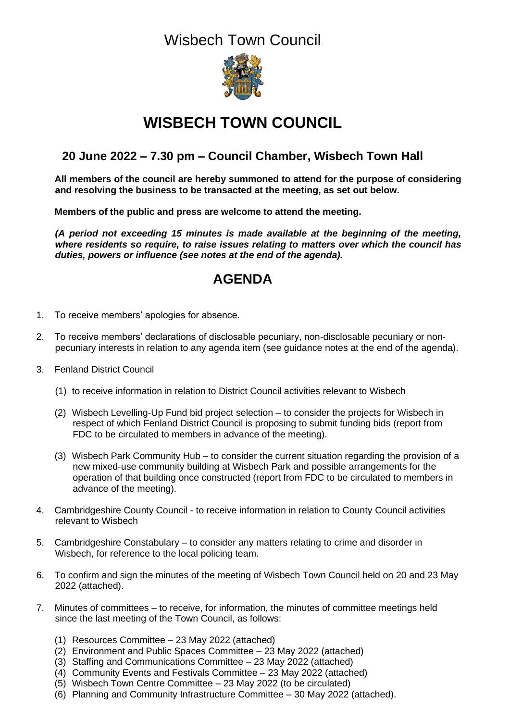

# **WISBECH TOWN COUNCIL**

## **20 June 2022 – 7.30 pm – Council Chamber, Wisbech Town Hall**

**All members of the council are hereby summoned to attend for the purpose of considering and resolving the business to be transacted at the meeting, as set out below.**

**Members of the public and press are welcome to attend the meeting.**

*(A period not exceeding 15 minutes is made available at the beginning of the meeting, where residents so require, to raise issues relating to matters over which the council has duties, powers or influence (see notes at the end of the agenda).*

## **AGENDA**

- 1. To receive members' apologies for absence.
- 2. To receive members' declarations of disclosable pecuniary, non-disclosable pecuniary or nonpecuniary interests in relation to any agenda item (see guidance notes at the end of the agenda).
- 3. Fenland District Council
	- (1) to receive information in relation to District Council activities relevant to Wisbech
	- (2) Wisbech Levelling-Up Fund bid project selection to consider the projects for Wisbech in respect of which Fenland District Council is proposing to submit funding bids (report from FDC to be circulated to members in advance of the meeting).
	- (3) Wisbech Park Community Hub to consider the current situation regarding the provision of a new mixed-use community building at Wisbech Park and possible arrangements for the operation of that building once constructed (report from FDC to be circulated to members in advance of the meeting).
- 4. Cambridgeshire County Council to receive information in relation to County Council activities relevant to Wisbech
- 5. Cambridgeshire Constabulary to consider any matters relating to crime and disorder in Wisbech, for reference to the local policing team.
- 6. To confirm and sign the minutes of the meeting of Wisbech Town Council held on 20 and 23 May 2022 (attached).
- 7. Minutes of committees to receive, for information, the minutes of committee meetings held since the last meeting of the Town Council, as follows:
	- (1) Resources Committee 23 May 2022 (attached)
	- (2) Environment and Public Spaces Committee 23 May 2022 (attached)
	- (3) Staffing and Communications Committee 23 May 2022 (attached)
	- (4) Community Events and Festivals Committee 23 May 2022 (attached)
	- (5) Wisbech Town Centre Committee 23 May 2022 (to be circulated)
	- (6) Planning and Community Infrastructure Committee 30 May 2022 (attached).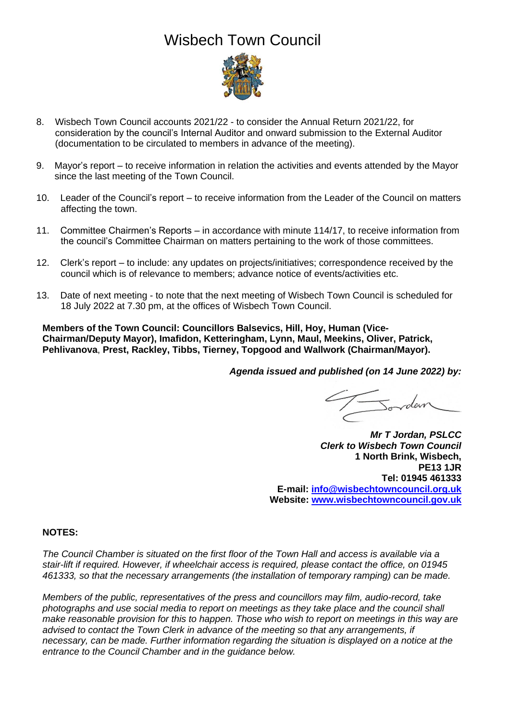

- 8. Wisbech Town Council accounts 2021/22 to consider the Annual Return 2021/22, for consideration by the council's Internal Auditor and onward submission to the External Auditor (documentation to be circulated to members in advance of the meeting).
- 9. Mayor's report to receive information in relation the activities and events attended by the Mayor since the last meeting of the Town Council.
- 10. Leader of the Council's report to receive information from the Leader of the Council on matters affecting the town.
- 11. Committee Chairmen's Reports in accordance with minute 114/17, to receive information from the council's Committee Chairman on matters pertaining to the work of those committees.
- 12. Clerk's report to include: any updates on projects/initiatives; correspondence received by the council which is of relevance to members; advance notice of events/activities etc.
- 13. Date of next meeting to note that the next meeting of Wisbech Town Council is scheduled for 18 July 2022 at 7.30 pm, at the offices of Wisbech Town Council.

**Members of the Town Council: Councillors Balsevics, Hill, Hoy, Human (Vice-Chairman/Deputy Mayor), Imafidon, Ketteringham, Lynn, Maul, Meekins, Oliver, Patrick, Pehlivanova**, **Prest, Rackley, Tibbs, Tierney, Topgood and Wallwork (Chairman/Mayor).**

*Agenda issued and published (on 14 June 2022) by:*

*Mr T Jordan, PSLCC Clerk to Wisbech Town Council* **1 North Brink, Wisbech, PE13 1JR Tel: 01945 461333 E-mail: [info@wisbechtowncouncil.org.uk](mailto:info@wisbechtowncouncil.org.uk) Website: [www.wisbechtowncouncil.gov.uk](http://www.wisbechtowncouncil.gov.uk/)**

### **NOTES:**

*The Council Chamber is situated on the first floor of the Town Hall and access is available via a stair-lift if required. However, if wheelchair access is required, please contact the office, on 01945 461333, so that the necessary arrangements (the installation of temporary ramping) can be made.*

*Members of the public, representatives of the press and councillors may film, audio-record, take photographs and use social media to report on meetings as they take place and the council shall make reasonable provision for this to happen. Those who wish to report on meetings in this way are advised to contact the Town Clerk in advance of the meeting so that any arrangements, if necessary, can be made. Further information regarding the situation is displayed on a notice at the entrance to the Council Chamber and in the guidance below.*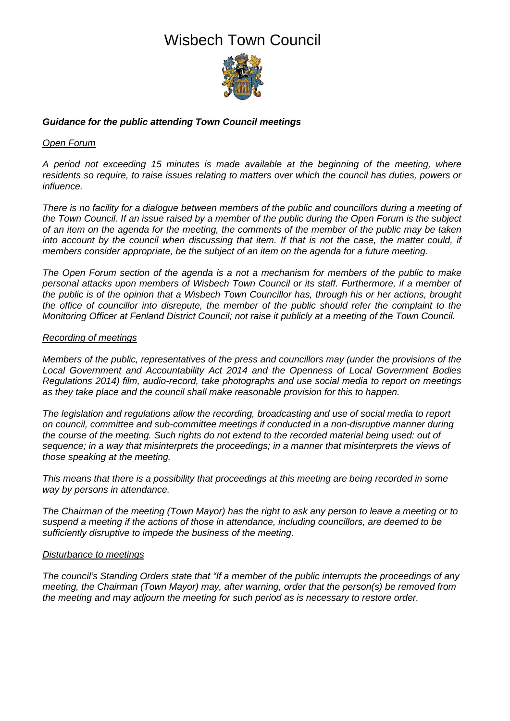

### *Guidance for the public attending Town Council meetings*

### *Open Forum*

*A period not exceeding 15 minutes is made available at the beginning of the meeting, where residents so require, to raise issues relating to matters over which the council has duties, powers or influence.* 

*There is no facility for a dialogue between members of the public and councillors during a meeting of the Town Council. If an issue raised by a member of the public during the Open Forum is the subject of an item on the agenda for the meeting, the comments of the member of the public may be taken into account by the council when discussing that item. If that is not the case, the matter could, if members consider appropriate, be the subject of an item on the agenda for a future meeting.*

*The Open Forum section of the agenda is a not a mechanism for members of the public to make personal attacks upon members of Wisbech Town Council or its staff. Furthermore, if a member of the public is of the opinion that a Wisbech Town Councillor has, through his or her actions, brought the office of councillor into disrepute, the member of the public should refer the complaint to the Monitoring Officer at Fenland District Council; not raise it publicly at a meeting of the Town Council.*

#### *Recording of meetings*

*Members of the public, representatives of the press and councillors may (under the provisions of the Local Government and Accountability Act 2014 and the Openness of Local Government Bodies Regulations 2014) film, audio-record, take photographs and use social media to report on meetings as they take place and the council shall make reasonable provision for this to happen.* 

*The legislation and regulations allow the recording, broadcasting and use of social media to report on council, committee and sub-committee meetings if conducted in a non-disruptive manner during the course of the meeting. Such rights do not extend to the recorded material being used: out of sequence; in a way that misinterprets the proceedings; in a manner that misinterprets the views of those speaking at the meeting.*

*This means that there is a possibility that proceedings at this meeting are being recorded in some way by persons in attendance.*

*The Chairman of the meeting (Town Mayor) has the right to ask any person to leave a meeting or to suspend a meeting if the actions of those in attendance, including councillors, are deemed to be sufficiently disruptive to impede the business of the meeting.*

#### *Disturbance to meetings*

*The council's Standing Orders state that "If a member of the public interrupts the proceedings of any meeting, the Chairman (Town Mayor) may, after warning, order that the person(s) be removed from the meeting and may adjourn the meeting for such period as is necessary to restore order.*